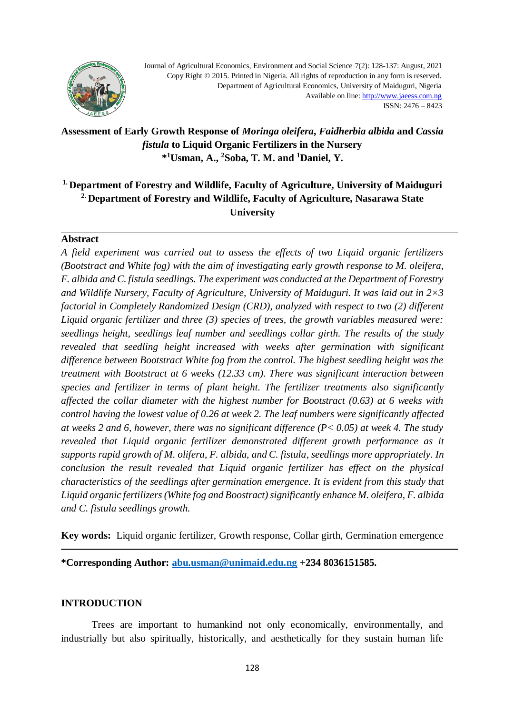

Journal of Agricultural Economics, Environment and Social Science 7(2): 128-137: August, 2021 Copy Right © 2015. Printed in Nigeria. All rights of reproduction in any form is reserved. Department of Agricultural Economics, University of Maiduguri, Nigeria Available on lin[e: http://www.jaeess.com.ng](http://www.jaeess.com.ng/) ISSN: 2476 – 8423

## **Assessment of Early Growth Response of** *Moringa oleifera***,** *Faidherbia albida* **and** *Cassia fistula* **to Liquid Organic Fertilizers in the Nursery \* <sup>1</sup>Usman, A., <sup>2</sup>Soba, T. M. and <sup>1</sup>Daniel, Y.**

# **1. Department of Forestry and Wildlife, Faculty of Agriculture, University of Maiduguri 2. Department of Forestry and Wildlife, Faculty of Agriculture, Nasarawa State University**

#### **Abstract**

*A field experiment was carried out to assess the effects of two Liquid organic fertilizers (Bootstract and White fog) with the aim of investigating early growth response to M. oleifera, F. albida and C. fistula seedlings. The experiment was conducted at the Department of Forestry and Wildlife Nursery, Faculty of Agriculture, University of Maiduguri. It was laid out in 2×3 factorial in Completely Randomized Design (CRD), analyzed with respect to two (2) different Liquid organic fertilizer and three (3) species of trees, the growth variables measured were: seedlings height, seedlings leaf number and seedlings collar girth. The results of the study revealed that seedling height increased with weeks after germination with significant difference between Bootstract White fog from the control. The highest seedling height was the treatment with Bootstract at 6 weeks (12.33 cm). There was significant interaction between species and fertilizer in terms of plant height. The fertilizer treatments also significantly affected the collar diameter with the highest number for Bootstract (0.63) at 6 weeks with control having the lowest value of 0.26 at week 2. The leaf numbers were significantly affected at weeks 2 and 6, however, there was no significant difference (P< 0.05) at week 4. The study revealed that Liquid organic fertilizer demonstrated different growth performance as it supports rapid growth of M. olifera, F. albida, and C. fistula, seedlings more appropriately. In conclusion the result revealed that Liquid organic fertilizer has effect on the physical characteristics of the seedlings after germination emergence. It is evident from this study that Liquid organic fertilizers(White fog and Boostract) significantly enhance M. oleifera, F. albida and C. fistula seedlings growth.*

**Key words:**Liquid organic fertilizer, Growth response, Collar girth, Germination emergence

**\*Corresponding Author: [abu.usman@unimaid.edu.ng](mailto:abu.usman@unimaid.edu.ng) +234 8036151585.**

#### **INTRODUCTION**

Trees are important to humankind not only economically, environmentally, and industrially but also spiritually, historically, and aesthetically for they sustain human life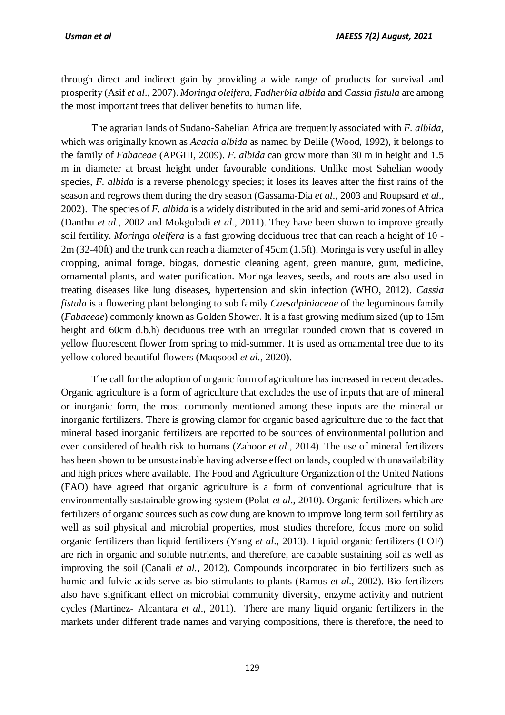through direct and indirect gain by providing a wide range of products for survival and prosperity (Asif *et al*., 2007). *Moringa oleifera, Fadherbia albida* and *Cassia fistula* are among the most important trees that deliver benefits to human life.

The agrarian lands of Sudano-Sahelian Africa are frequently associated with *F. albida*, which was originally known as *Acacia albida* as named by Delile (Wood, 1992), it belongs to the family of *Fabaceae* (APGIII, 2009). *F. albida* can grow more than 30 m in height and 1.5 m in diameter at breast height under favourable conditions. Unlike most Sahelian woody species, *F. albida* is a reverse phenology species; it loses its leaves after the first rains of the season and regrows them during the dry season (Gassama-Dia *et al*., 2003 and Roupsard *et al*., 2002). The species of *F. albida* is a widely distributed in the arid and semi-arid zones of Africa (Danthu *et al.*, 2002 and Mokgolodi *et al*., 2011). They have been shown to improve greatly soil fertility. *Moringa oleifera* is a fast growing deciduous tree that can reach a height of 10 - 2m (32-40ft) and the trunk can reach a diameter of 45cm (1.5ft). Moringa is very useful in alley cropping, animal forage, biogas, domestic cleaning agent, green manure, gum, medicine, ornamental plants, and water purification. Moringa leaves, seeds, and roots are also used in treating diseases like lung diseases, hypertension and skin infection (WHO, 2012). *Cassia fistula* is a flowering plant belonging to sub family *Caesalpiniaceae* of the leguminous family (*Fabaceae*) commonly known as Golden Shower. It is a fast growing medium sized (up to 15m height and 60cm d.b.h) deciduous tree with an irregular rounded crown that is covered in yellow fluorescent flower from spring to mid-summer. It is used as ornamental tree due to its yellow colored beautiful flowers (Maqsood *et al.,* 2020).

The call for the adoption of organic form of agriculture has increased in recent decades. Organic agriculture is a form of agriculture that excludes the use of inputs that are of mineral or inorganic form, the most commonly mentioned among these inputs are the mineral or inorganic fertilizers. There is growing clamor for organic based agriculture due to the fact that mineral based inorganic fertilizers are reported to be sources of environmental pollution and even considered of health risk to humans (Zahoor *et al*., 2014). The use of mineral fertilizers has been shown to be unsustainable having adverse effect on lands, coupled with unavailability and high prices where available. The Food and Agriculture Organization of the United Nations (FAO) have agreed that organic agriculture is a form of conventional agriculture that is environmentally sustainable growing system (Polat *et al*., 2010). Organic fertilizers which are fertilizers of organic sources such as cow dung are known to improve long term soil fertility as well as soil physical and microbial properties, most studies therefore, focus more on solid organic fertilizers than liquid fertilizers (Yang *et al*., 2013). Liquid organic fertilizers (LOF) are rich in organic and soluble nutrients, and therefore, are capable sustaining soil as well as improving the soil (Canali *et al.,* 2012). Compounds incorporated in bio fertilizers such as humic and fulvic acids serve as bio stimulants to plants (Ramos *et al*., 2002). Bio fertilizers also have significant effect on microbial community diversity, enzyme activity and nutrient cycles (Martinez- Alcantara *et al*., 2011). There are many liquid organic fertilizers in the markets under different trade names and varying compositions, there is therefore, the need to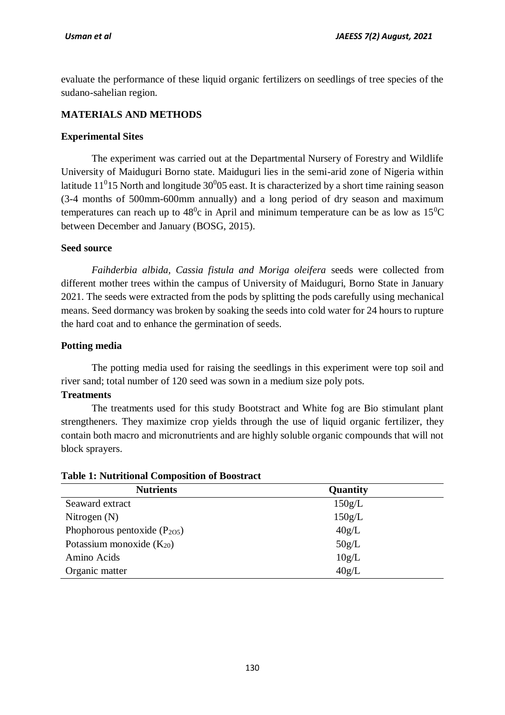evaluate the performance of these liquid organic fertilizers on seedlings of tree species of the sudano-sahelian region.

## **MATERIALS AND METHODS**

## **Experimental Sites**

The experiment was carried out at the Departmental Nursery of Forestry and Wildlife University of Maiduguri Borno state. Maiduguri lies in the semi-arid zone of Nigeria within latitude 11<sup>0</sup>15 North and longitude  $30^{0}$ 05 east. It is characterized by a short time raining season (3-4 months of 500mm-600mm annually) and a long period of dry season and maximum temperatures can reach up to  $48^{\circ}$ c in April and minimum temperature can be as low as  $15^{\circ}$ C between December and January (BOSG, 2015).

#### **Seed source**

*Faihderbia albida, Cassia fistula and Moriga oleifera* seeds were collected from different mother trees within the campus of University of Maiduguri, Borno State in January 2021. The seeds were extracted from the pods by splitting the pods carefully using mechanical means. Seed dormancy was broken by soaking the seeds into cold water for 24 hours to rupture the hard coat and to enhance the germination of seeds.

#### **Potting media**

The potting media used for raising the seedlings in this experiment were top soil and river sand; total number of 120 seed was sown in a medium size poly pots.

#### **Treatments**

The treatments used for this study Bootstract and White fog are Bio stimulant plant strengtheners. They maximize crop yields through the use of liquid organic fertilizer, they contain both macro and micronutrients and are highly soluble organic compounds that will not block sprayers.

#### **Table 1: Nutritional Composition of Boostract**

| <b>Nutrients</b>                 | Quantity |
|----------------------------------|----------|
| Seaward extract                  | 150g/L   |
| Nitrogen $(N)$                   | 150g/L   |
| Phophorous pentoxide $(P_{205})$ | 40g/L    |
| Potassium monoxide $(K_{20})$    | 50g/L    |
| Amino Acids                      | 10g/L    |
| Organic matter                   | 40g/L    |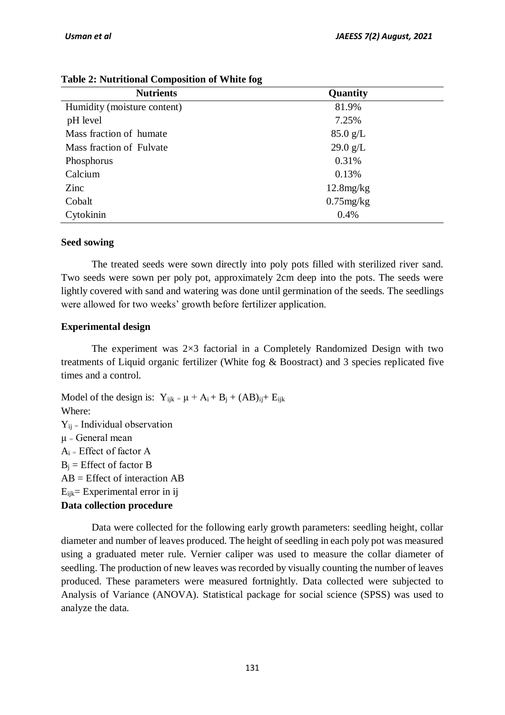| <b>Nutrients</b>            | Quantity           |
|-----------------------------|--------------------|
| Humidity (moisture content) | 81.9%              |
| pH level                    | 7.25%              |
| Mass fraction of humate     | $85.0 \text{ g/L}$ |
| Mass fraction of Fulvate    | $29.0$ g/L         |
| Phosphorus                  | 0.31%              |
| Calcium                     | 0.13%              |
| Zinc                        | $12.8$ mg/ $kg$    |
| Cobalt                      | $0.75$ mg/kg       |
| Cytokinin                   | 0.4%               |

## **Table 2: Nutritional Composition of White fog**

## **Seed sowing**

The treated seeds were sown directly into poly pots filled with sterilized river sand. Two seeds were sown per poly pot, approximately 2cm deep into the pots. The seeds were lightly covered with sand and watering was done until germination of the seeds. The seedlings were allowed for two weeks' growth before fertilizer application.

## **Experimental design**

The experiment was 2×3 factorial in a Completely Randomized Design with two treatments of Liquid organic fertilizer (White fog & Boostract) and 3 species replicated five times and a control.

Model of the design is:  $Y_{ijk} = \mu + A_i + B_j + (AB)_{ij} + E_{ijk}$ Where:  $Y_{ij}$  = Individual observation  $\mu$  = General mean  $A_i$  = Effect of factor A  $B_i$  = Effect of factor B AB = Effect of interaction AB  $E_{ijk}$ = Experimental error in ij **Data collection procedure**

Data were collected for the following early growth parameters: seedling height, collar diameter and number of leaves produced. The height of seedling in each poly pot was measured using a graduated meter rule. Vernier caliper was used to measure the collar diameter of seedling. The production of new leaves was recorded by visually counting the number of leaves produced. These parameters were measured fortnightly. Data collected were subjected to Analysis of Variance (ANOVA). Statistical package for social science (SPSS) was used to analyze the data.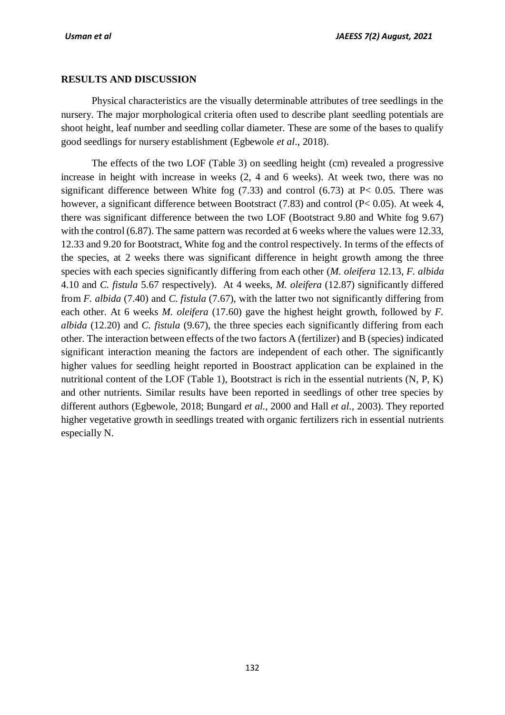#### **RESULTS AND DISCUSSION**

Physical characteristics are the visually determinable attributes of tree seedlings in the nursery. The major morphological criteria often used to describe plant seedling potentials are shoot height, leaf number and seedling collar diameter. These are some of the bases to qualify good seedlings for nursery establishment (Egbewole *et al*., 2018).

The effects of the two LOF (Table 3) on seedling height (cm) revealed a progressive increase in height with increase in weeks (2, 4 and 6 weeks). At week two, there was no significant difference between White fog  $(7.33)$  and control  $(6.73)$  at P< 0.05. There was however, a significant difference between Bootstract (7.83) and control (P< 0.05). At week 4, there was significant difference between the two LOF (Bootstract 9.80 and White fog 9.67) with the control (6.87). The same pattern was recorded at 6 weeks where the values were 12.33, 12.33 and 9.20 for Bootstract, White fog and the control respectively. In terms of the effects of the species, at 2 weeks there was significant difference in height growth among the three species with each species significantly differing from each other (*M. oleifera* 12.13, *F. albida* 4.10 and *C. fistula* 5.67 respectively). At 4 weeks, *M. oleifera* (12.87) significantly differed from *F. albida* (7.40) and *C. fistula* (7.67), with the latter two not significantly differing from each other. At 6 weeks *M. oleifera* (17.60) gave the highest height growth, followed by *F. albida* (12.20) and *C. fistula* (9.67), the three species each significantly differing from each other. The interaction between effects of the two factors A (fertilizer) and B (species) indicated significant interaction meaning the factors are independent of each other. The significantly higher values for seedling height reported in Boostract application can be explained in the nutritional content of the LOF (Table 1), Bootstract is rich in the essential nutrients (N, P, K) and other nutrients. Similar results have been reported in seedlings of other tree species by different authors (Egbewole, 2018; Bungard *et al.,* 2000 and Hall *et al.,* 2003). They reported higher vegetative growth in seedlings treated with organic fertilizers rich in essential nutrients especially N.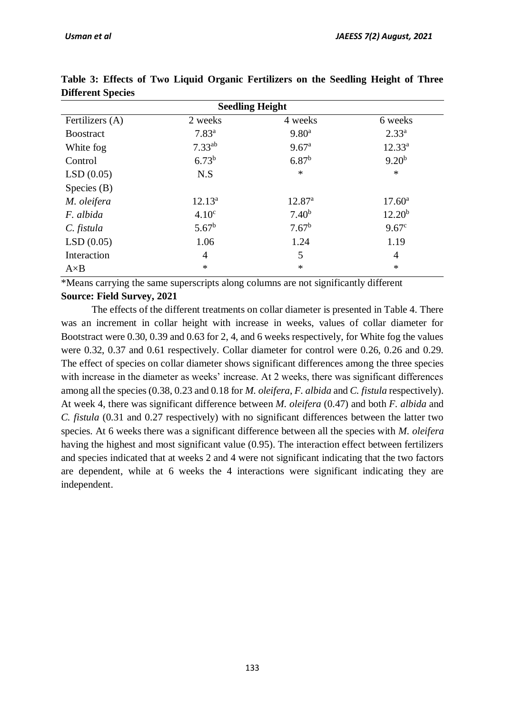| DINGRUM OPEERS           |                   |                    |                    |  |  |
|--------------------------|-------------------|--------------------|--------------------|--|--|
| <b>Seedling Height</b>   |                   |                    |                    |  |  |
| Fertilizers (A)          | 2 weeks           | 4 weeks            | 6 weeks            |  |  |
| <b>Boostract</b>         | $7.83^{a}$        | 9.80 <sup>a</sup>  | $2.33^{a}$         |  |  |
| White fog                | $7.33^{ab}$       | 9.67 <sup>a</sup>  | $12.33^{a}$        |  |  |
| Control                  | $6.73^{b}$        | $6.87^{b}$         | $9.20^{b}$         |  |  |
| LSD(0.05)                | N.S               | $\ast$             | $\ast$             |  |  |
| Species $(B)$            |                   |                    |                    |  |  |
| $12.13^a$<br>M. oleifera |                   | 12.87 <sup>a</sup> | $17.60^{\circ}$    |  |  |
| F. albida                | 4.10 <sup>c</sup> | 7.40 <sup>b</sup>  | 12.20 <sup>b</sup> |  |  |
| C. fistula               | $5.67^{\rm b}$    | $7.67^b$           | $9.67^{\circ}$     |  |  |
| LSD(0.05)                | 1.06              | 1.24               | 1.19               |  |  |
| Interaction<br>4         |                   | 5                  | $\overline{4}$     |  |  |
| $A \times B$             | $\ast$            | $\ast$             | $\ast$             |  |  |

**Table 3: Effects of Two Liquid Organic Fertilizers on the Seedling Height of Three Different Species** 

\*Means carrying the same superscripts along columns are not significantly different **Source: Field Survey, 2021**

The effects of the different treatments on collar diameter is presented in Table 4. There was an increment in collar height with increase in weeks, values of collar diameter for Bootstract were 0.30, 0.39 and 0.63 for 2, 4, and 6 weeks respectively, for White fog the values were 0.32, 0.37 and 0.61 respectively. Collar diameter for control were 0.26, 0.26 and 0.29. The effect of species on collar diameter shows significant differences among the three species with increase in the diameter as weeks' increase. At 2 weeks, there was significant differences among all the species (0.38, 0.23 and 0.18 for *M. oleifera*, *F. albida* and *C. fistula* respectively). At week 4, there was significant difference between *M. oleifera* (0.47) and both *F. albida* and *C. fistula* (0.31 and 0.27 respectively) with no significant differences between the latter two species. At 6 weeks there was a significant difference between all the species with *M. oleifera* having the highest and most significant value (0.95). The interaction effect between fertilizers and species indicated that at weeks 2 and 4 were not significant indicating that the two factors are dependent, while at 6 weeks the 4 interactions were significant indicating they are independent.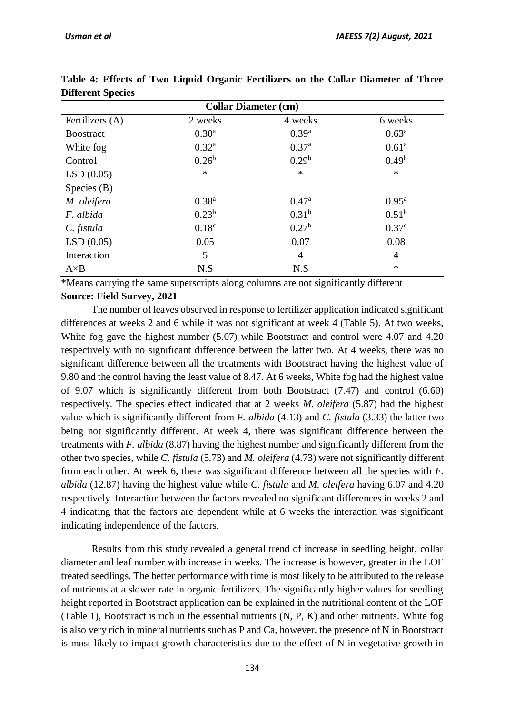| <b>Collar Diameter (cm)</b> |                   |                   |                   |  |
|-----------------------------|-------------------|-------------------|-------------------|--|
| Fertilizers (A)             | 2 weeks           | 4 weeks           | 6 weeks           |  |
| <b>Boostract</b>            | $0.30^{\rm a}$    | $0.39^{a}$        | $0.63^{\rm a}$    |  |
| White fog                   | $0.32^{a}$        | 0.37 <sup>a</sup> | 0.61 <sup>a</sup> |  |
| Control                     | $0.26^{\rm b}$    | 0.29 <sup>b</sup> | $0.49^b$          |  |
| LSD(0.05)                   | $\ast$            | $\ast$            | $\ast$            |  |
| Species $(B)$               |                   |                   |                   |  |
| M. oleifera                 | $0.38^{a}$        | 0.47 <sup>a</sup> | $0.95^{\rm a}$    |  |
| F. albida                   | $0.23^{b}$        | 0.31 <sup>b</sup> | $0.51^{b}$        |  |
| C. fistula                  | 0.18 <sup>c</sup> | $0.27^{\rm b}$    | 0.37 <sup>c</sup> |  |
| LSD(0.05)                   | 0.05              | 0.07              | 0.08              |  |
| Interaction<br>5            |                   | $\overline{4}$    | $\overline{4}$    |  |
| $A \times B$                | N.S               | N.S               | $\ast$            |  |

**Table 4: Effects of Two Liquid Organic Fertilizers on the Collar Diameter of Three Different Species**

\*Means carrying the same superscripts along columns are not significantly different **Source: Field Survey, 2021**

The number of leaves observed in response to fertilizer application indicated significant differences at weeks 2 and 6 while it was not significant at week 4 (Table 5). At two weeks, White fog gave the highest number (5.07) while Bootstract and control were 4.07 and 4.20 respectively with no significant difference between the latter two. At 4 weeks, there was no significant difference between all the treatments with Bootstract having the highest value of 9.80 and the control having the least value of 8.47. At 6 weeks, White fog had the highest value of 9.07 which is significantly different from both Bootstract (7.47) and control (6.60) respectively. The species effect indicated that at 2 weeks *M. oleifera* (5.87) had the highest value which is significantly different from *F. albida* (4.13) and *C. fistula* (3.33) the latter two being not significantly different. At week 4, there was significant difference between the treatments with *F. albida* (8.87) having the highest number and significantly different from the other two species, while *C. fistula* (5.73) and *M. oleifera* (4.73) were not significantly different from each other. At week 6, there was significant difference between all the species with *F. albida* (12.87) having the highest value while *C. fistula* and *M. oleifera* having 6.07 and 4.20 respectively. Interaction between the factors revealed no significant differences in weeks 2 and 4 indicating that the factors are dependent while at 6 weeks the interaction was significant indicating independence of the factors.

Results from this study revealed a general trend of increase in seedling height, collar diameter and leaf number with increase in weeks. The increase is however, greater in the LOF treated seedlings. The better performance with time is most likely to be attributed to the release of nutrients at a slower rate in organic fertilizers. The significantly higher values for seedling height reported in Bootstract application can be explained in the nutritional content of the LOF (Table 1), Bootstract is rich in the essential nutrients (N, P, K) and other nutrients. White fog is also very rich in mineral nutrients such as P and Ca, however, the presence of N in Bootstract is most likely to impact growth characteristics due to the effect of N in vegetative growth in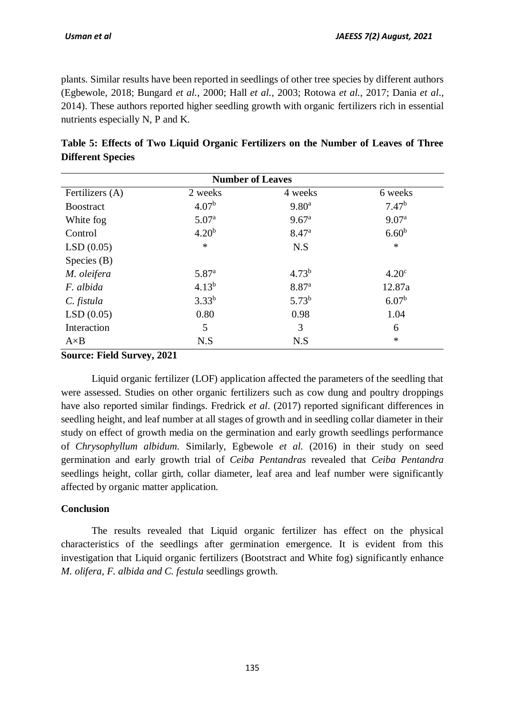plants. Similar results have been reported in seedlings of other tree species by different authors (Egbewole, 2018; Bungard *et al.,* 2000; Hall *et al.,* 2003; Rotowa *et al.,* 2017; Dania *et al*., 2014). These authors reported higher seedling growth with organic fertilizers rich in essential nutrients especially N, P and K.

| <b>Number of Leaves</b> |                   |                   |                   |  |
|-------------------------|-------------------|-------------------|-------------------|--|
| Fertilizers (A)         | 2 weeks           | 4 weeks           | 6 weeks           |  |
| <b>B</b> oostract       | 4.07 <sup>b</sup> | 9.80 <sup>a</sup> | 7.47 <sup>b</sup> |  |
| White fog               | 5.07 <sup>a</sup> | 9.67 <sup>a</sup> | 9.07 <sup>a</sup> |  |
| Control                 | 4.20 <sup>b</sup> | 8.47 <sup>a</sup> | $6.60^{b}$        |  |
| LSD(0.05)               | $\ast$            | N.S               | $\ast$            |  |
| Species $(B)$           |                   |                   |                   |  |
| M. oleifera             | 5.87 <sup>a</sup> | $4.73^{b}$        | 4.20 <sup>c</sup> |  |
| F. albida               | $4.13^{b}$        | 8.87 <sup>a</sup> | 12.87a            |  |
| C. fistula              | $3.33^{b}$        | $5.73^{b}$        | 6.07 <sup>b</sup> |  |
| LSD(0.05)               | 0.80              | 0.98              | 1.04              |  |
| Interaction             | 5                 | 3                 | 6                 |  |
| $A \times B$            | N.S               | N.S               | $\ast$            |  |

|                          |  | Table 5: Effects of Two Liquid Organic Fertilizers on the Number of Leaves of Three |  |  |
|--------------------------|--|-------------------------------------------------------------------------------------|--|--|
| <b>Different Species</b> |  |                                                                                     |  |  |

**Source: Field Survey, 2021**

Liquid organic fertilizer (LOF) application affected the parameters of the seedling that were assessed. Studies on other organic fertilizers such as cow dung and poultry droppings have also reported similar findings. Fredrick *et al*. (2017) reported significant differences in seedling height, and leaf number at all stages of growth and in seedling collar diameter in their study on effect of growth media on the germination and early growth seedlings performance of *Chrysophyllum albidum.* Similarly, Egbewole *et al.* (2016) in their study on seed germination and early growth trial of *Ceiba Pentandras* revealed that *Ceiba Pentandra*  seedlings height, collar girth, collar diameter, leaf area and leaf number were significantly affected by organic matter application.

#### **Conclusion**

The results revealed that Liquid organic fertilizer has effect on the physical characteristics of the seedlings after germination emergence. It is evident from this investigation that Liquid organic fertilizers (Bootstract and White fog) significantly enhance *M. olifera, F. albida and C. festula* seedlings growth.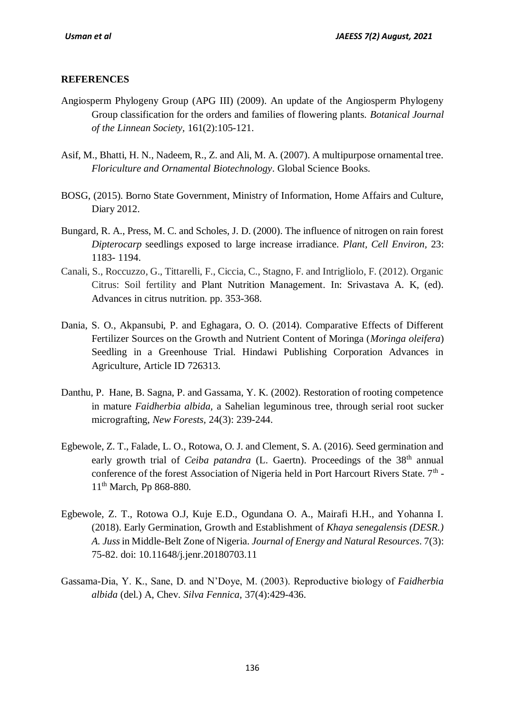## **REFERENCES**

- Angiosperm Phylogeny Group (APG III) (2009). An update of the Angiosperm Phylogeny Group classification for the orders and families of flowering plants. *Botanical Journal of the Linnean Society,* 161(2):105-121.
- Asif, M., Bhatti, H. N., Nadeem, R., Z. and Ali, M. A. (2007). A multipurpose ornamental tree. *Floriculture and Ornamental Biotechnology*. Global Science Books.
- BOSG, (2015). Borno State Government, Ministry of Information, Home Affairs and Culture, Diary 2012.
- Bungard, R. A., Press, M. C. and Scholes, J. D. (2000). The influence of nitrogen on rain forest *Dipterocarp* seedlings exposed to large increase irradiance*. Plant, Cell Environ,* 23: 1183- 1194.
- Canali, S., Roccuzzo, G., Tittarelli, F., Ciccia, C., Stagno, F. and Intrigliolo, F. (2012). Organic Citrus: Soil fertility and Plant Nutrition Management. In: Srivastava A. K, (ed). Advances in citrus nutrition. pp. 353-368.
- Dania, S. O., Akpansubi, P. and Eghagara, O. O. (2014). Comparative Effects of Different Fertilizer Sources on the Growth and Nutrient Content of Moringa (*Moringa oleifera*) Seedling in a Greenhouse Trial. Hindawi Publishing Corporation Advances in Agriculture, Article ID 726313.
- Danthu, P. Hane, B. Sagna, P. and Gassama, Y. K. (2002). Restoration of rooting competence in mature *Faidherbia albida,* a Sahelian leguminous tree, through serial root sucker micrografting, *New Forests,* 24(3): 239-244.
- Egbewole, Z. T., Falade, L. O., Rotowa, O. J. and Clement, S. A. (2016). Seed germination and early growth trial of *Ceiba patandra* (L. Gaertn). Proceedings of the 38<sup>th</sup> annual conference of the forest Association of Nigeria held in Port Harcourt Rivers State.  $7<sup>th</sup>$  -11<sup>th</sup> March, Pp 868-880.
- Egbewole, Z. T., Rotowa O.J, Kuje E.D., Ogundana O. A., Mairafi H.H., and Yohanna I. (2018). Early Germination, Growth and Establishment of *Khaya senegalensis (DESR.) A. Juss* in Middle-Belt Zone of Nigeria. *Journal of Energy and Natural Resources*. 7(3): 75-82. doi: 10.11648/j.jenr.20180703.11
- Gassama-Dia, Y. K., Sane, D. and N'Doye, M. (2003). Reproductive biology of *Faidherbia albida* (del.) A, Chev. *Silva Fennica,* 37(4):429-436.